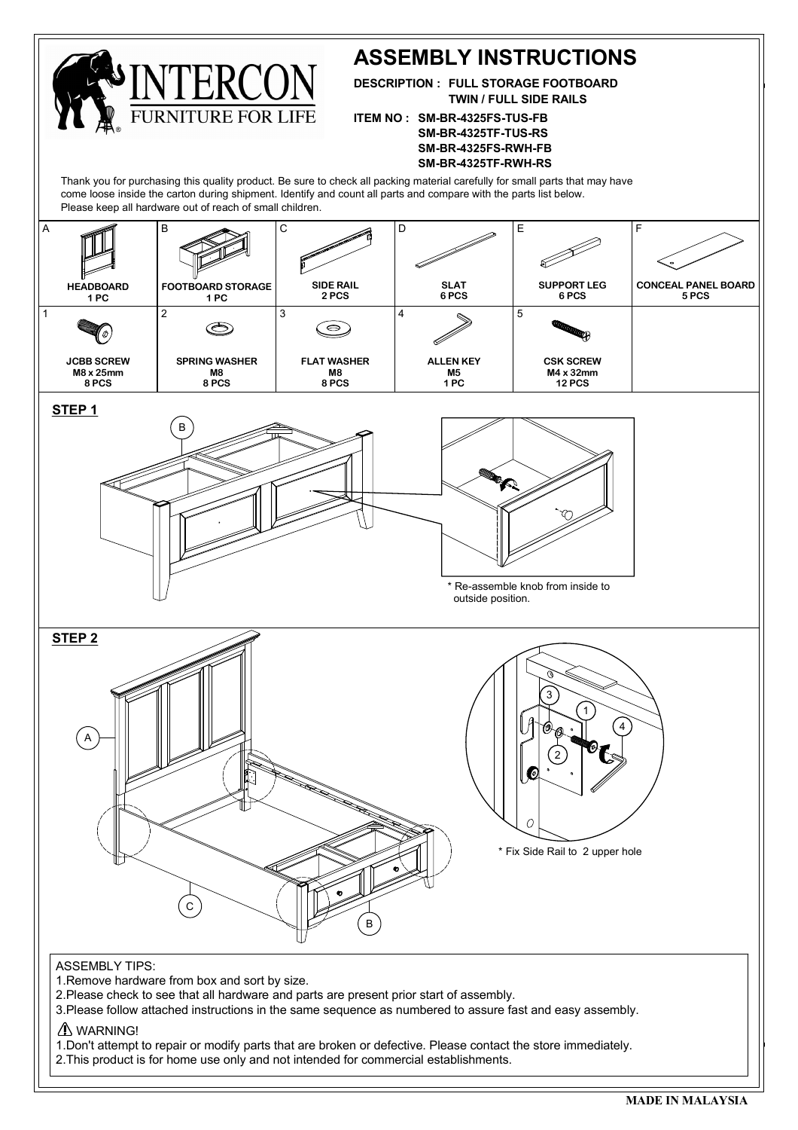